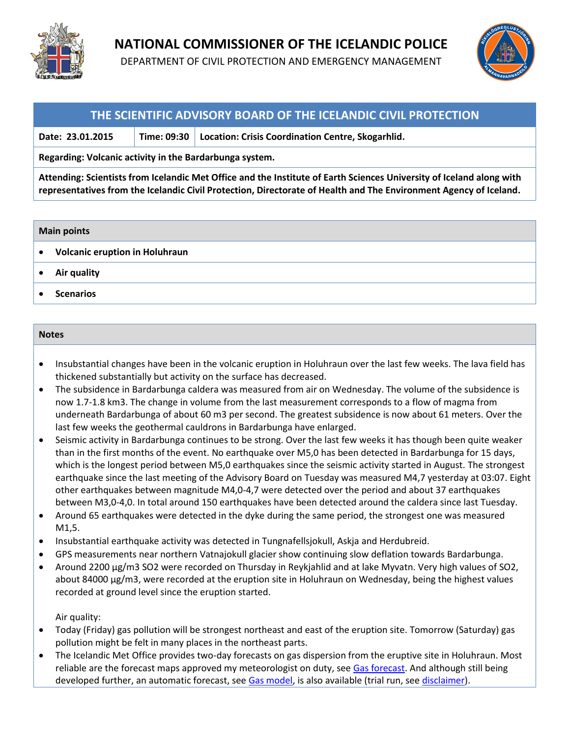

## **NATIONAL COMMISSIONER OF THE ICELANDIC POLICE**

DEPARTMENT OF CIVIL PROTECTION AND EMERGENCY MANAGEMENT



### **THE SCIENTIFIC ADVISORY BOARD OF THE ICELANDIC CIVIL PROTECTION**

**Date: 23.01.2015 Time: 09:30 Location: Crisis Coordination Centre, Skogarhlid.**

**Regarding: Volcanic activity in the Bardarbunga system.** 

**Attending: Scientists from Icelandic Met Office and the Institute of Earth Sciences University of Iceland along with representatives from the Icelandic Civil Protection, Directorate of Health and The Environment Agency of Iceland.**

#### **Main points**

- **Volcanic eruption in Holuhraun**
- **Air quality**
- **•** Scenarios

#### **Notes**

- Insubstantial changes have been in the volcanic eruption in Holuhraun over the last few weeks. The lava field has thickened substantially but activity on the surface has decreased.
- The subsidence in Bardarbunga caldera was measured from air on Wednesday. The volume of the subsidence is now 1.7-1.8 km3. The change in volume from the last measurement corresponds to a flow of magma from underneath Bardarbunga of about 60 m3 per second. The greatest subsidence is now about 61 meters. Over the last few weeks the geothermal cauldrons in Bardarbunga have enlarged.
- Seismic activity in Bardarbunga continues to be strong. Over the last few weeks it has though been quite weaker than in the first months of the event. No earthquake over M5,0 has been detected in Bardarbunga for 15 days, which is the longest period between M5,0 earthquakes since the seismic activity started in August. The strongest earthquake since the last meeting of the Advisory Board on Tuesday was measured M4,7 yesterday at 03:07. Eight other earthquakes between magnitude M4,0-4,7 were detected over the period and about 37 earthquakes between M3,0-4,0. In total around 150 earthquakes have been detected around the caldera since last Tuesday.
- Around 65 earthquakes were detected in the dyke during the same period, the strongest one was measured M1,5.
- Insubstantial earthquake activity was detected in Tungnafellsjokull, Askja and Herdubreid.
- GPS measurements near northern Vatnajokull glacier show continuing slow deflation towards Bardarbunga.
- Around 2200 µg/m3 SO2 were recorded on Thursday in Reykjahlid and at lake Myvatn. Very high values of SO2, about 84000 µg/m3, were recorded at the eruption site in Holuhraun on Wednesday, being the highest values recorded at ground level since the eruption started.

Air quality:

- Today (Friday) gas pollution will be strongest northeast and east of the eruption site. Tomorrow (Saturday) gas pollution might be felt in many places in the northeast parts.
- The Icelandic Met Office provides two-day forecasts on gas dispersion from the eruptive site in Holuhraun. Most reliable are the forecast maps approved my meteorologist on duty, see [Gas forecast.](http://en.vedur.is/weather/forecasts/text/gas/) And although still being developed further, an automatic forecast, see [Gas model,](http://en.vedur.is/weather/forecasts/gas-model/) is also available (trial run, se[e disclaimer\)](http://en.vedur.is/weather/forecasts/gas-model/#disclaimer).